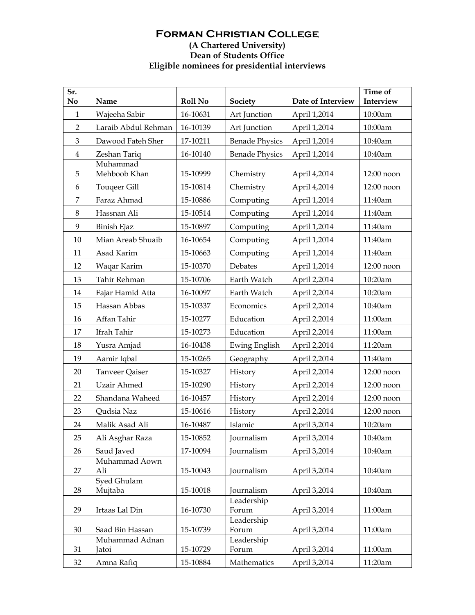## **Forman Christian College (A Chartered University) Dean of Students Office Eligible nominees for presidential interviews**

| Sr.<br>No      | Name                     | <b>Roll No</b> | Society               | Date of Interview | <b>Time of</b><br>Interview |
|----------------|--------------------------|----------------|-----------------------|-------------------|-----------------------------|
| $\mathbf{1}$   | Wajeeha Sabir            | 16-10631       | Art Junction          | April 1,2014      | 10:00am                     |
| $\overline{2}$ | Laraib Abdul Rehman      | 16-10139       | Art Junction          | April 1,2014      | 10:00am                     |
| 3              | Dawood Fateh Sher        | 17-10211       | <b>Benade Physics</b> | April 1,2014      | 10:40am                     |
| $\overline{4}$ | Zeshan Tariq             | 16-10140       | <b>Benade Physics</b> | April 1,2014      | 10:40am                     |
| $\mathbf 5$    | Muhammad<br>Mehboob Khan | 15-10999       | Chemistry             | April 4,2014      | 12:00 noon                  |
| 6              | <b>Touqeer Gill</b>      | 15-10814       | Chemistry             | April 4,2014      | 12:00 noon                  |
| $\overline{7}$ | Faraz Ahmad              | 15-10886       | Computing             | April 1,2014      | 11:40am                     |
| $\,8\,$        | Hassnan Ali              | 15-10514       | Computing             | April 1,2014      | 11:40am                     |
| 9              | <b>Binish Ejaz</b>       | 15-10897       | Computing             | April 1,2014      | 11:40am                     |
| 10             | Mian Areab Shuaib        | 16-10654       | Computing             | April 1,2014      | 11:40am                     |
| 11             | Asad Karim               | 15-10663       | Computing             | April 1,2014      | 11:40am                     |
| 12             | Waqar Karim              | 15-10370       | Debates               | April 1,2014      | 12:00 noon                  |
| 13             | Tahir Rehman             | 15-10706       | Earth Watch           | April 2,2014      | 10:20am                     |
| 14             | Fajar Hamid Atta         | 16-10097       | Earth Watch           | April 2,2014      | 10:20am                     |
| 15             | Hassan Abbas             | 15-10337       | Economics             | April 2,2014      | 10:40am                     |
| 16             | Affan Tahir              | 15-10277       | Education             | April 2,2014      | 11:00am                     |
| 17             | Ifrah Tahir              | 15-10273       | Education             | April 2,2014      | 11:00am                     |
| 18             | Yusra Amjad              | 16-10438       | <b>Ewing English</b>  | April 2,2014      | 11:20am                     |
| 19             | Aamir Iqbal              | 15-10265       | Geography             | April 2,2014      | 11:40am                     |
| 20             | Tanveer Qaiser           | 15-10327       | History               | April 2,2014      | 12:00 noon                  |
| 21             | <b>Uzair Ahmed</b>       | 15-10290       | History               | April 2,2014      | 12:00 noon                  |
| 22             | Shandana Waheed          | 16-10457       | History               | April 2,2014      | 12:00 noon                  |
| 23             | Qudsia Naz               | 15-10616       | History               | April 2,2014      | 12:00 noon                  |
| 24             | Malik Asad Ali           | 16-10487       | Islamic               | April 3,2014      | 10:20am                     |
| 25             | Ali Asghar Raza          | 15-10852       | <b>Journalism</b>     | April 3,2014      | 10:40am                     |
| 26             | Saud Javed               | 17-10094       | Journalism            | April 3,2014      | 10:40am                     |
| 27             | Muhammad Aown<br>Ali     | 15-10043       | Journalism            | April 3,2014      | 10:40am                     |
|                | <b>Syed Ghulam</b>       | 15-10018       | Journalism            |                   | 10:40am                     |
| 28             | Mujtaba                  |                | Leadership            | April 3,2014      |                             |
| 29             | Irtaas Lal Din           | 16-10730       | Forum                 | April 3,2014      | 11:00am                     |
| 30             | Saad Bin Hassan          | 15-10739       | Leadership<br>Forum   | April 3,2014      | 11:00am                     |
| 31             | Muhammad Adnan<br>Jatoi  | 15-10729       | Leadership<br>Forum   | April 3,2014      | 11:00am                     |
| 32             | Amna Rafiq               | 15-10884       | Mathematics           | April 3,2014      | 11:20am                     |